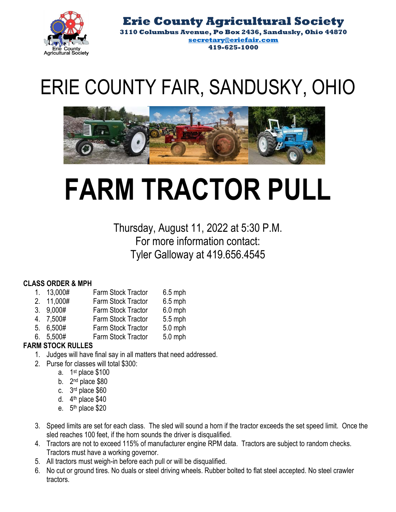

**Erie County Agricultural Society 3110 Columbus Avenue, Po Box 2436, Sandusky, Ohio 44870 secretary@eriefair.com 419-625-1000**

## ERIE COUNTY FAIR, SANDUSKY, OHIO



## **FARM TRACTOR PULL**

Thursday, August 11, 2022 at 5:30 P.M. For more information contact: Tyler Galloway at 419.656.4545

## **CLASS ORDER & MPH**

- Farm Stock Tractor 6.5 mph 1. 13,000#
- Farm Stock Tractor 6.5 mph 2. 11,000#
- Farm Stock Tractor 6.0 mph 3. 9,000#
- Farm Stock Tractor 5.5 mph 4. 7,500#
- Farm Stock Tractor 5.0 mph 5. 6,500#
- 6. 5,500# Farm Stock Tractor 5.0 mph

## **FARM STOCK RULLES**

- 1. Judges will have final say in all matters that need addressed.
- 2. Purse for classes will total \$300:
	- a. 1st place \$100
	- b.  $2<sup>nd</sup>$  place \$80
	- c. 3rd place \$60
	- d. 4<sup>th</sup> place \$40
	- e.  $5<sup>th</sup>$  place \$20
- 3. Speed limits are set for each class. The sled will sound a horn if the tractor exceeds the set speed limit. Once the sled reaches 100 feet, if the horn sounds the driver is disqualified.
- 4. Tractors are not to exceed 115% of manufacturer engine RPM data. Tractors are subject to random checks. Tractors must have a working governor.
- 5. All tractors must weigh-in before each pull or will be disqualified.
- 6. No cut or ground tires. No duals or steel driving wheels. Rubber bolted to flat steel accepted. No steel crawler tractors.